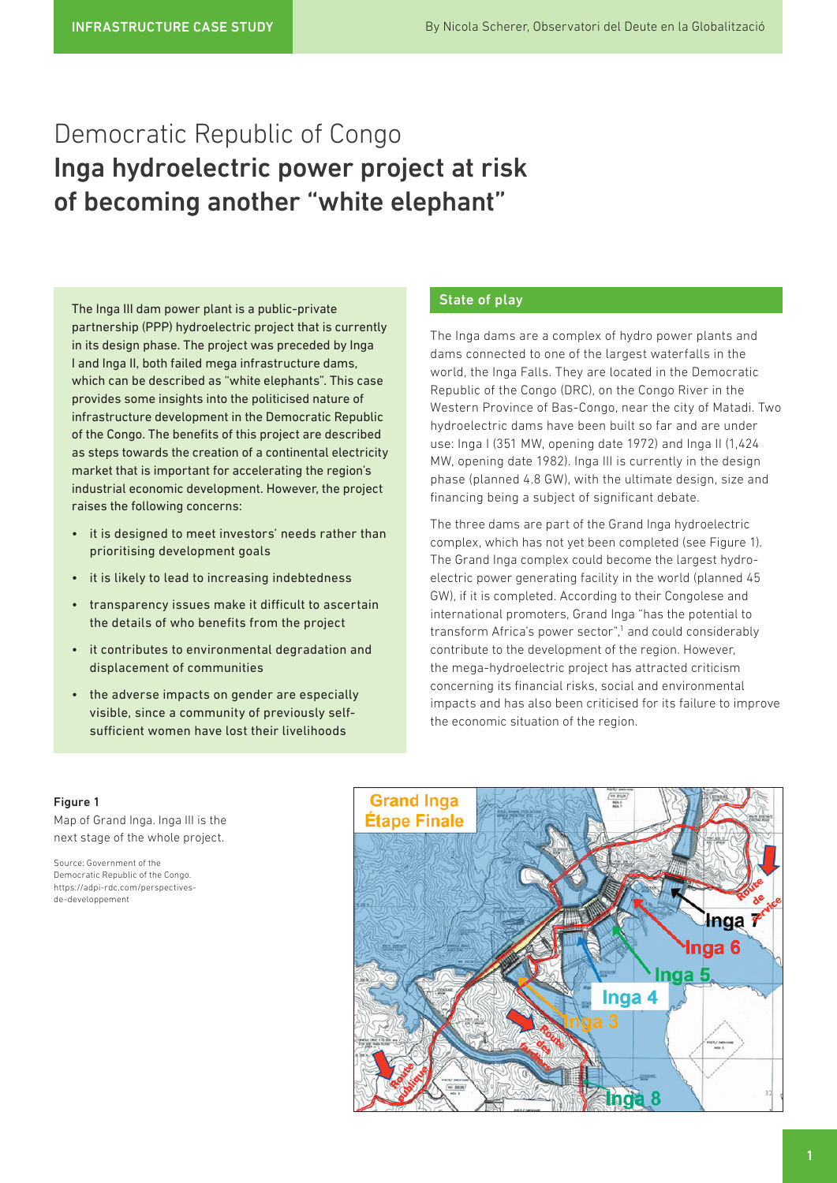# Democratic Republic of Congo Inga hydroelectric power project at risk of becoming another "white elephant"

The Inga III dam power plant is a public-private partnership (PPP) hydroelectric project that is currently in its design phase. The project was preceded by Inga I and Inga II, both failed mega infrastructure dams, which can be described as "white elephants". This case provides some insights into the politicised nature of infrastructure development in the Democratic Republic of the Congo. The benefits of this project are described as steps towards the creation of a continental electricity market that is important for accelerating the region's industrial economic development. However, the project raises the following concerns:

- it is designed to meet investors' needs rather than prioritising development goals
- it is likely to lead to increasing indebtedness
- transparency issues make it difficult to ascertain the details of who benefits from the project
- it contributes to environmental degradation and displacement of communities
- the adverse impacts on gender are especially visible, since a community of previously selfsufficient women have lost their livelihoods

# State of play

The Inga dams are a complex of hydro power plants and dams connected to one of the largest waterfalls in the world, the Inga Falls. They are located in the Democratic Republic of the Congo (DRC), on the Congo River in the Western Province of Bas-Congo, near the city of Matadi. Two hydroelectric dams have been built so far and are under use: Inga I (351 MW, opening date 1972) and Inga II (1,424 MW, opening date 1982). Inga III is currently in the design phase (planned 4.8 GW), with the ultimate design, size and financing being a subject of significant debate.

The three dams are part of the Grand Inga hydroelectric complex, which has not yet been completed (see Figure 1). The Grand Inga complex could become the largest hydroelectric power generating facility in the world (planned 45 GW), if it is completed. According to their Congolese and international promoters, Grand Inga "has the potential to transform Africa's power sector",<sup>1</sup> and could considerably contribute to the development of the region. However, the mega-hydroelectric project has attracted criticism concerning its financial risks, social and environmental impacts and has also been criticised for its failure to improve the economic situation of the region.

### Figure 1

Map of Grand Inga. Inga III is the next stage of the whole project.

Source: Government of the Democratic Republic of the Congo. [https://adpi-rdc.com/perspectives](https://adpi-rdc.com/perspectives-de-developpement/)[de-developpement](https://adpi-rdc.com/perspectives-de-developpement/)

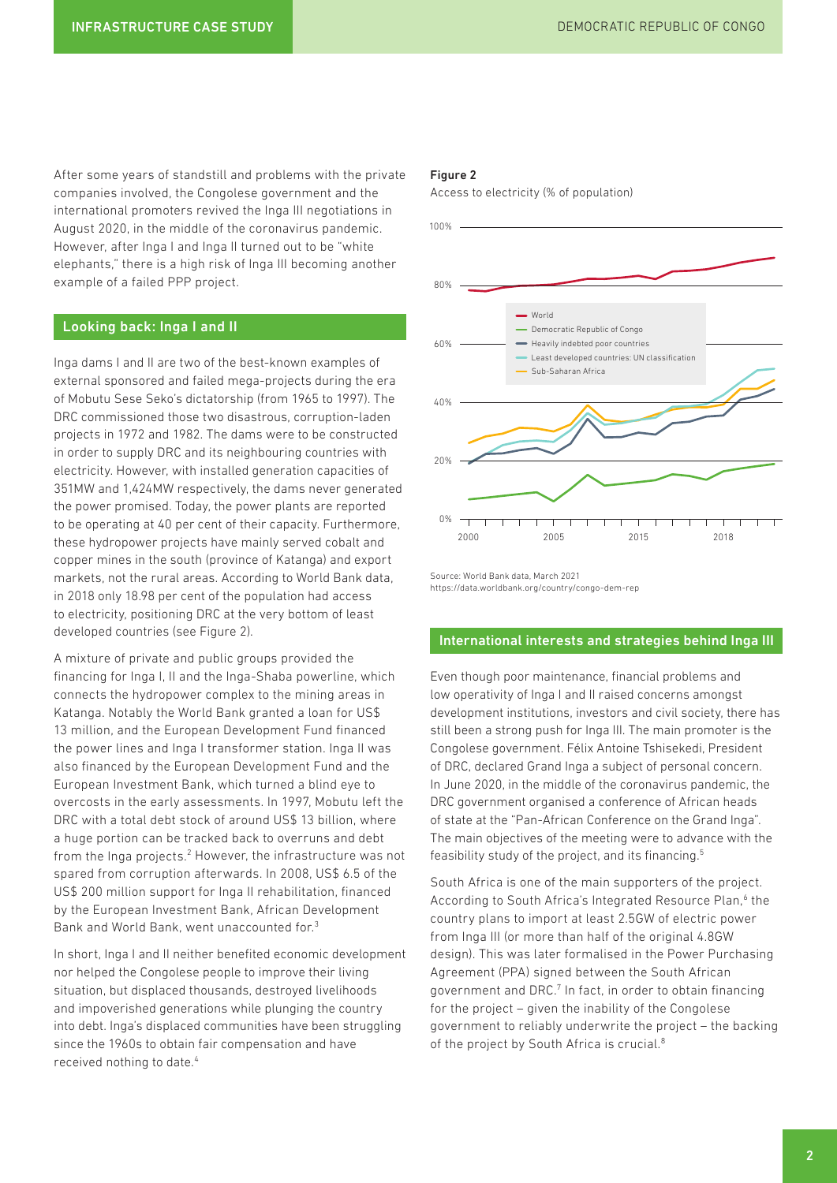After some years of standstill and problems with the private companies involved, the Congolese government and the international promoters revived the Inga III negotiations in August 2020, in the middle of the coronavirus pandemic. However, after Inga I and Inga II turned out to be "white elephants," there is a high risk of Inga III becoming another example of a failed PPP project.

# Looking back: Inga I and II

Inga dams I and II are two of the best-known examples of external sponsored and failed mega-projects during the era of Mobutu Sese Seko's dictatorship (from 1965 to 1997). The DRC commissioned those two disastrous, corruption-laden projects in 1972 and 1982. The dams were to be constructed in order to supply DRC and its neighbouring countries with electricity. However, with installed generation capacities of 351MW and 1,424MW respectively, the dams never generated the power promised. Today, the power plants are reported to be operating at 40 per cent of their capacity. Furthermore, these hydropower projects have mainly served cobalt and copper mines in the south (province of Katanga) and export markets, not the rural areas. According to World Bank data, in 2018 only 18.98 per cent of the population had access to electricity, positioning DRC at the very bottom of least developed countries (see Figure 2).

A mixture of private and public groups provided the financing for Inga I, II and the Inga-Shaba powerline, which connects the hydropower complex to the mining areas in Katanga. Notably the World Bank granted a loan for US\$ 13 million, and the European Development Fund financed the power lines and Inga I transformer station. Inga II was also financed by the European Development Fund and the European Investment Bank, which turned a blind eye to overcosts in the early assessments. In 1997, Mobutu left the DRC with a total debt stock of around US\$ 13 billion, where a huge portion can be tracked back to overruns and debt from the Inga projects.<sup>2</sup> However, the infrastructure was not spared from corruption afterwards. In 2008, US\$ 6.5 of the US\$ 200 million support for Inga II rehabilitation, financed by the European Investment Bank, African Development Bank and World Bank, went unaccounted for.3

In short, Inga I and II neither benefited economic development nor helped the Congolese people to improve their living situation, but displaced thousands, destroyed livelihoods and impoverished generations while plunging the country into debt. Inga's displaced communities have been struggling since the 1960s to obtain fair compensation and have received nothing to date.4

#### Figure 2

Access to electricity (% of population)



Source: World Bank data, March 2021 <https://data.worldbank.org/country/congo-dem-rep>

### International interests and strategies behind Inga III

Even though poor maintenance, financial problems and low operativity of Inga I and II raised concerns amongst development institutions, investors and civil society, there has still been a strong push for Inga III. The main promoter is the Congolese government. Félix Antoine Tshisekedi, President of DRC, declared Grand Inga a subject of personal concern. In June 2020, in the middle of the coronavirus pandemic, the DRC government organised a conference of African heads of state at the "Pan-African Conference on the Grand Inga". The main objectives of the meeting were to advance with the feasibility study of the project, and its financing.5

South Africa is one of the main supporters of the project. According to South Africa's Integrated Resource Plan,<sup>6</sup> the country plans to import at least 2.5GW of electric power from Inga III (or more than half of the original 4.8GW design). This was later formalised in the Power Purchasing Agreement (PPA) signed between the South African government and DRC.<sup>7</sup> In fact, in order to obtain financing for the project – given the inability of the Congolese government to reliably underwrite the project – the backing of the project by South Africa is crucial.<sup>8</sup>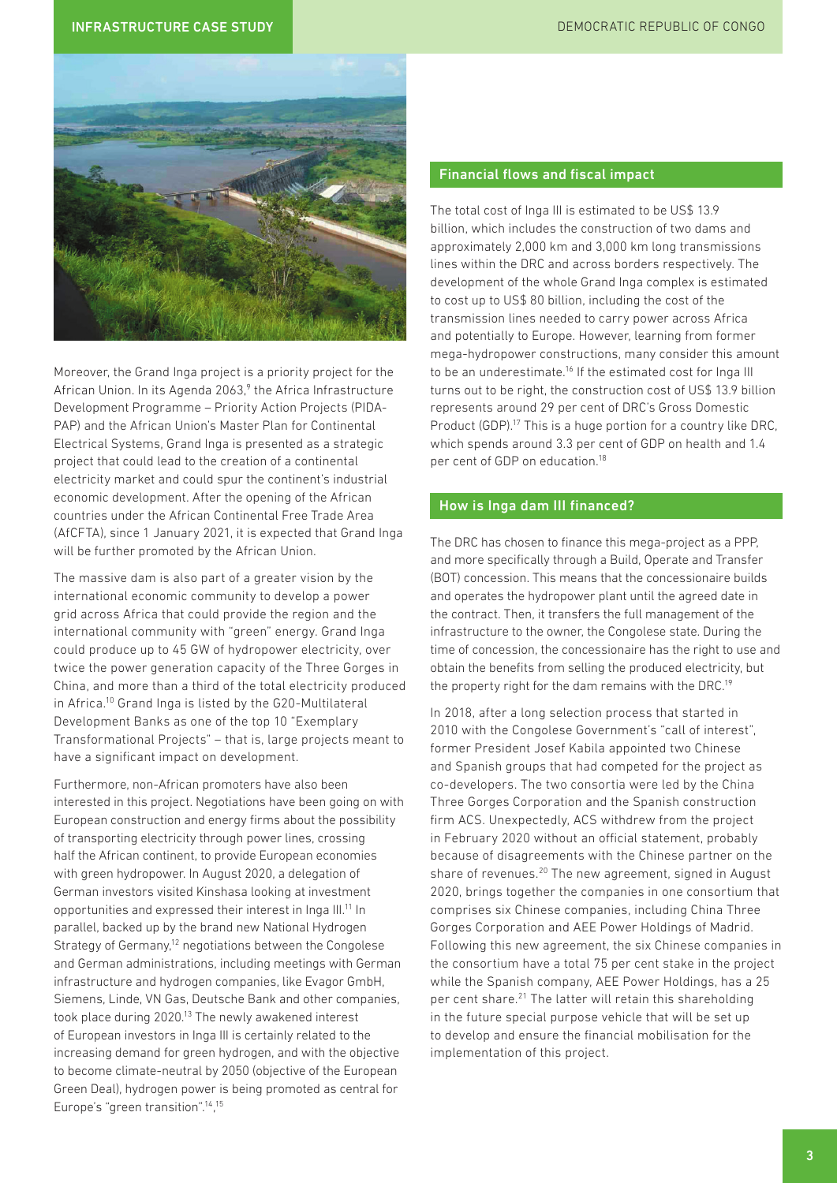### INFRASTRUCTURE CASE STUDY DEMOCRATIC REPUBLIC OF CONGO



Moreover, the Grand Inga project is a priority project for the African Union. In its Agenda 2063,<sup>9</sup> the Africa Infrastructure Development Programme – Priority Action Projects (PIDA-PAP) and the African Union's Master Plan for Continental Electrical Systems, Grand Inga is presented as a strategic project that could lead to the creation of a continental electricity market and could spur the continent's industrial economic development. After the opening of the African countries under the African Continental Free Trade Area (AfCFTA), since 1 January 2021, it is expected that Grand Inga will be further promoted by the African Union.

The massive dam is also part of a greater vision by the international economic community to develop a power grid across Africa that could provide the region and the international community with "green" energy. Grand Inga could produce up to 45 GW of hydropower electricity, over twice the power generation capacity of the Three Gorges in China, and more than a third of the total electricity produced in Africa.10 Grand Inga is listed by the G20-Multilateral Development Banks as one of the top 10 "Exemplary Transformational Projects" – that is, large projects meant to have a significant impact on development.

Furthermore, non-African promoters have also been interested in this project. Negotiations have been going on with European construction and energy firms about the possibility of transporting electricity through power lines, crossing half the African continent, to provide European economies with green hydropower. In August 2020, a delegation of German investors visited Kinshasa looking at investment opportunities and expressed their interest in Inga III.11 In parallel, backed up by the brand new National Hydrogen Strategy of Germany,<sup>12</sup> negotiations between the Congolese and German administrations, including meetings with German infrastructure and hydrogen companies, like Evagor GmbH, Siemens, Linde, VN Gas, Deutsche Bank and other companies, took place during 2020.13 The newly awakened interest of European investors in Inga III is certainly related to the increasing demand for green hydrogen, and with the objective to become climate-neutral by 2050 (objective of the European Green Deal), hydrogen power is being promoted as central for Europe's "green transition".14, 15

# Financial flows and fiscal impact

The total cost of Inga III is estimated to be US\$ 13.9 billion, which includes the construction of two dams and approximately 2,000 km and 3,000 km long transmissions lines within the DRC and across borders respectively. The development of the whole Grand Inga complex is estimated to cost up to US\$ 80 billion, including the cost of the transmission lines needed to carry power across Africa and potentially to Europe. However, learning from former mega-hydropower constructions, many consider this amount to be an underestimate.<sup>16</sup> If the estimated cost for Inga III turns out to be right, the construction cost of US\$ 13.9 billion represents around 29 per cent of DRC's Gross Domestic Product (GDP).17 This is a huge portion for a country like DRC, which spends around 3.3 per cent of GDP on health and 1.4 per cent of GDP on education.18

# How is Inga dam III financed?

The DRC has chosen to finance this mega-project as a PPP, and more specifically through a Build, Operate and Transfer (BOT) concession. This means that the concessionaire builds and operates the hydropower plant until the agreed date in the contract. Then, it transfers the full management of the infrastructure to the owner, the Congolese state. During the time of concession, the concessionaire has the right to use and obtain the benefits from selling the produced electricity, but the property right for the dam remains with the DRC.<sup>19</sup>

In 2018, after a long selection process that started in 2010 with the Congolese Government's "call of interest", former President Josef Kabila appointed two Chinese and Spanish groups that had competed for the project as co-developers. The two consortia were led by the China Three Gorges Corporation and the Spanish construction firm ACS. Unexpectedly, ACS withdrew from the project in February 2020 without an official statement, probably because of disagreements with the Chinese partner on the share of revenues.<sup>20</sup> The new agreement, signed in August 2020, brings together the companies in one consortium that comprises six Chinese companies, including China Three Gorges Corporation and AEE Power Holdings of Madrid. Following this new agreement, the six Chinese companies in the consortium have a total 75 per cent stake in the project while the Spanish company, AEE Power Holdings, has a 25 per cent share.21 The latter will retain this shareholding in the future special purpose vehicle that will be set up to develop and ensure the financial mobilisation for the implementation of this project.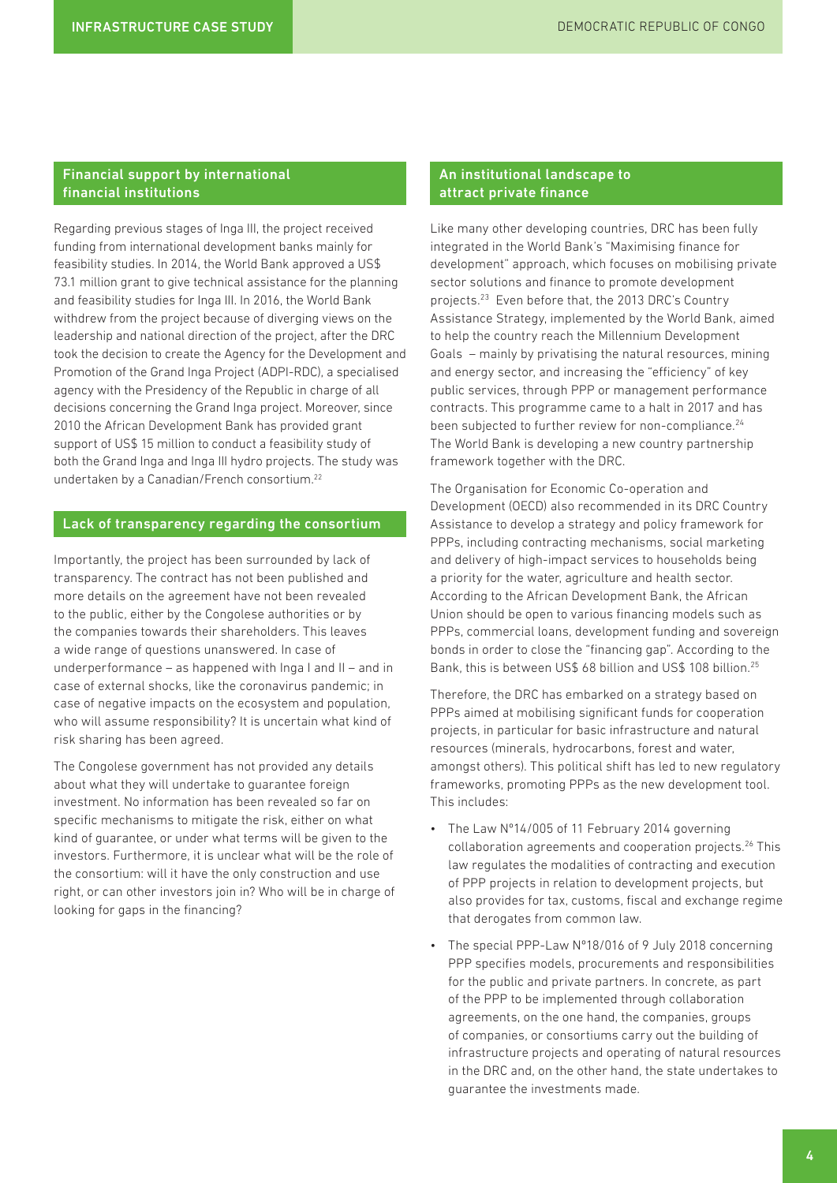# Financial support by international financial institutions

Regarding previous stages of Inga III, the project received funding from international development banks mainly for feasibility studies. In 2014, the World Bank approved a US\$ 73.1 million grant to give technical assistance for the planning and feasibility studies for Inga III. In 2016, the World Bank withdrew from the project because of diverging views on the leadership and national direction of the project, after the DRC took the decision to create the Agency for the Development and Promotion of the Grand Inga Project (ADPI-RDC), a specialised agency with the Presidency of the Republic in charge of all decisions concerning the Grand Inga project. Moreover, since 2010 the African Development Bank has provided grant support of US\$ 15 million to conduct a feasibility study of both the Grand Inga and Inga III hydro projects. The study was undertaken by a Canadian/French consortium.22

## Lack of transparency regarding the consortium

Importantly, the project has been surrounded by lack of transparency. The contract has not been published and more details on the agreement have not been revealed to the public, either by the Congolese authorities or by the companies towards their shareholders. This leaves a wide range of questions unanswered. In case of underperformance – as happened with Inga I and II – and in case of external shocks, like the coronavirus pandemic; in case of negative impacts on the ecosystem and population, who will assume responsibility? It is uncertain what kind of risk sharing has been agreed.

The Congolese government has not provided any details about what they will undertake to guarantee foreign investment. No information has been revealed so far on specific mechanisms to mitigate the risk, either on what kind of guarantee, or under what terms will be given to the investors. Furthermore, it is unclear what will be the role of the consortium: will it have the only construction and use right, or can other investors join in? Who will be in charge of looking for gaps in the financing?

### An institutional landscape to attract private finance

Like many other developing countries, DRC has been fully integrated in the World Bank's "Maximising finance for development" approach, which focuses on mobilising private sector solutions and finance to promote development projects.23 Even before that, the 2013 DRC's Country Assistance Strategy, implemented by the World Bank, aimed to help the country reach the Millennium Development Goals – mainly by privatising the natural resources, mining and energy sector, and increasing the "efficiency" of key public services, through PPP or management performance contracts. This programme came to a halt in 2017 and has been subjected to further review for non-compliance.<sup>24</sup> The World Bank is developing a new country partnership framework together with the DRC.

The Organisation for Economic Co-operation and Development (OECD) also recommended in its DRC Country Assistance to develop a strategy and policy framework for PPPs, including contracting mechanisms, social marketing and delivery of high-impact services to households being a priority for the water, agriculture and health sector. According to the African Development Bank, the African Union should be open to various financing models such as PPPs, commercial loans, development funding and sovereign bonds in order to close the "financing gap". According to the Bank, this is between US\$ 68 billion and US\$ 108 billion.25

Therefore, the DRC has embarked on a strategy based on PPPs aimed at mobilising significant funds for cooperation projects, in particular for basic infrastructure and natural resources (minerals, hydrocarbons, forest and water, amongst others). This political shift has led to new regulatory frameworks, promoting PPPs as the new development tool. This includes:

- The Law Nº14/005 of 11 February 2014 governing collaboration agreements and cooperation projects.26 This law regulates the modalities of contracting and execution of PPP projects in relation to development projects, but also provides for tax, customs, fiscal and exchange regime that derogates from common law.
- The special PPP-Law Nº18/016 of 9 July 2018 concerning PPP specifies models, procurements and responsibilities for the public and private partners. In concrete, as part of the PPP to be implemented through collaboration agreements, on the one hand, the companies, groups of companies, or consortiums carry out the building of infrastructure projects and operating of natural resources in the DRC and, on the other hand, the state undertakes to guarantee the investments made.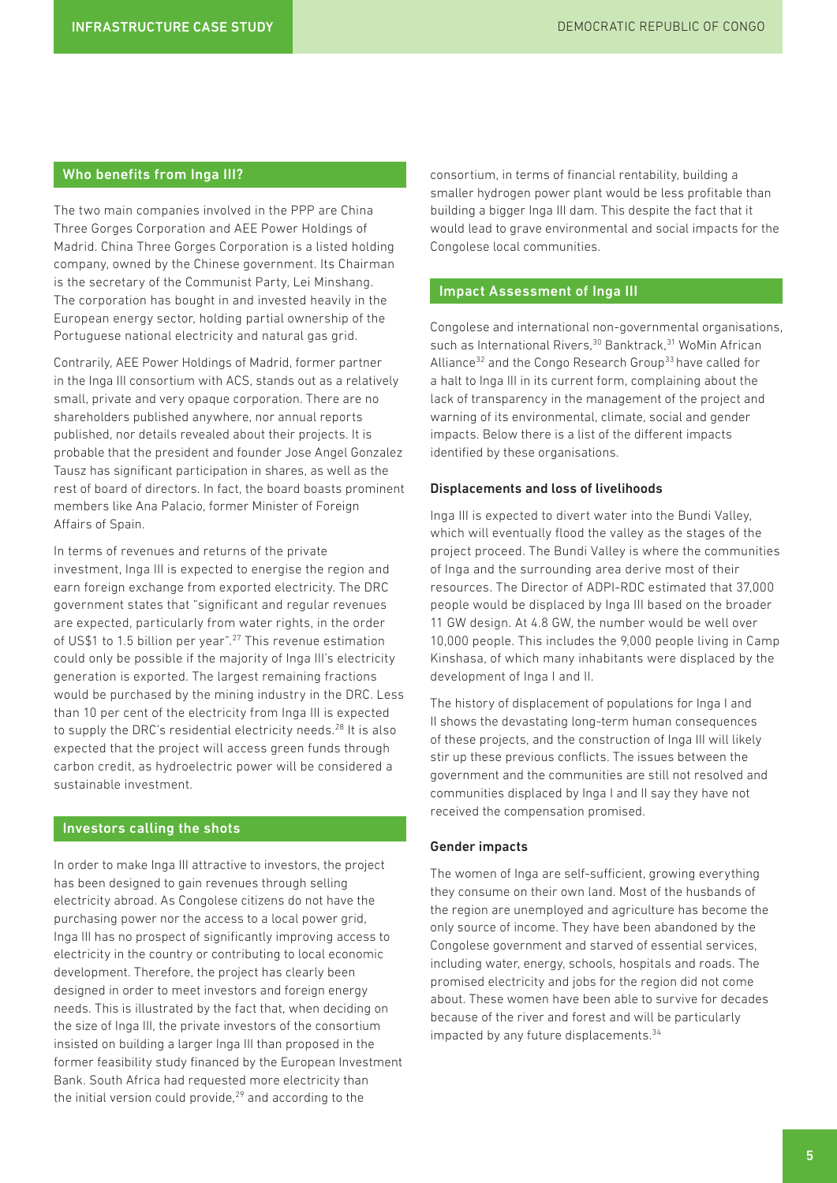# Who benefits from Inga III?

The two main companies involved in the PPP are China Three Gorges Corporation and AEE Power Holdings of Madrid. China Three Gorges Corporation is a listed holding company, owned by the Chinese government. Its Chairman is the secretary of the Communist Party, Lei Minshang. The corporation has bought in and invested heavily in the European energy sector, holding partial ownership of the Portuguese national electricity and natural gas grid.

Contrarily, AEE Power Holdings of Madrid, former partner in the Inga III consortium with ACS, stands out as a relatively small, private and very opaque corporation. There are no shareholders published anywhere, nor annual reports published, nor details revealed about their projects. It is probable that the president and founder Jose Angel Gonzalez Tausz has significant participation in shares, as well as the rest of board of directors. In fact, the board boasts prominent members like Ana Palacio, former Minister of Foreign Affairs of Spain.

In terms of revenues and returns of the private investment, Inga III is expected to energise the region and earn foreign exchange from exported electricity. The DRC government states that "significant and regular revenues are expected, particularly from water rights, in the order of US\$1 to 1.5 billion per year".<sup>27</sup> This revenue estimation could only be possible if the majority of Inga III's electricity generation is exported. The largest remaining fractions would be purchased by the mining industry in the DRC. Less than 10 per cent of the electricity from Inga III is expected to supply the DRC's residential electricity needs.<sup>28</sup> It is also expected that the project will access green funds through carbon credit, as hydroelectric power will be considered a sustainable investment.

### Investors calling the shots

In order to make Inga III attractive to investors, the project has been designed to gain revenues through selling electricity abroad. As Congolese citizens do not have the purchasing power nor the access to a local power grid, Inga III has no prospect of significantly improving access to electricity in the country or contributing to local economic development. Therefore, the project has clearly been designed in order to meet investors and foreign energy needs. This is illustrated by the fact that, when deciding on the size of Inga III, the private investors of the consortium insisted on building a larger Inga III than proposed in the former feasibility study financed by the European Investment Bank. South Africa had requested more electricity than the initial version could provide, $29$  and according to the

consortium, in terms of financial rentability, building a smaller hydrogen power plant would be less profitable than building a bigger Inga III dam. This despite the fact that it would lead to grave environmental and social impacts for the Congolese local communities.

# Impact Assessment of Inga III

Congolese and international non-governmental organisations, such as International Rivers,<sup>30</sup> Banktrack,<sup>31</sup> WoMin African Alliance<sup>32</sup> and the Congo Research Group<sup>33</sup> have called for a halt to Inga III in its current form, complaining about the lack of transparency in the management of the project and warning of its environmental, climate, social and gender impacts. Below there is a list of the different impacts identified by these organisations.

#### Displacements and loss of livelihoods

Inga III is expected to divert water into the Bundi Valley, which will eventually flood the valley as the stages of the project proceed. The Bundi Valley is where the communities of Inga and the surrounding area derive most of their resources. The Director of ADPI-RDC estimated that 37,000 people would be displaced by Inga III based on the broader 11 GW design. At 4.8 GW, the number would be well over 10,000 people. This includes the 9,000 people living in Camp Kinshasa, of which many inhabitants were displaced by the development of Inga I and II.

The history of displacement of populations for Inga I and II shows the devastating long-term human consequences of these projects, and the construction of Inga III will likely stir up these previous conflicts. The issues between the government and the communities are still not resolved and communities displaced by Inga I and II say they have not received the compensation promised.

#### Gender impacts

The women of Inga are self-sufficient, growing everything they consume on their own land. Most of the husbands of the region are unemployed and agriculture has become the only source of income. They have been abandoned by the Congolese government and starved of essential services, including water, energy, schools, hospitals and roads. The promised electricity and jobs for the region did not come about. These women have been able to survive for decades because of the river and forest and will be particularly impacted by any future displacements.<sup>34</sup>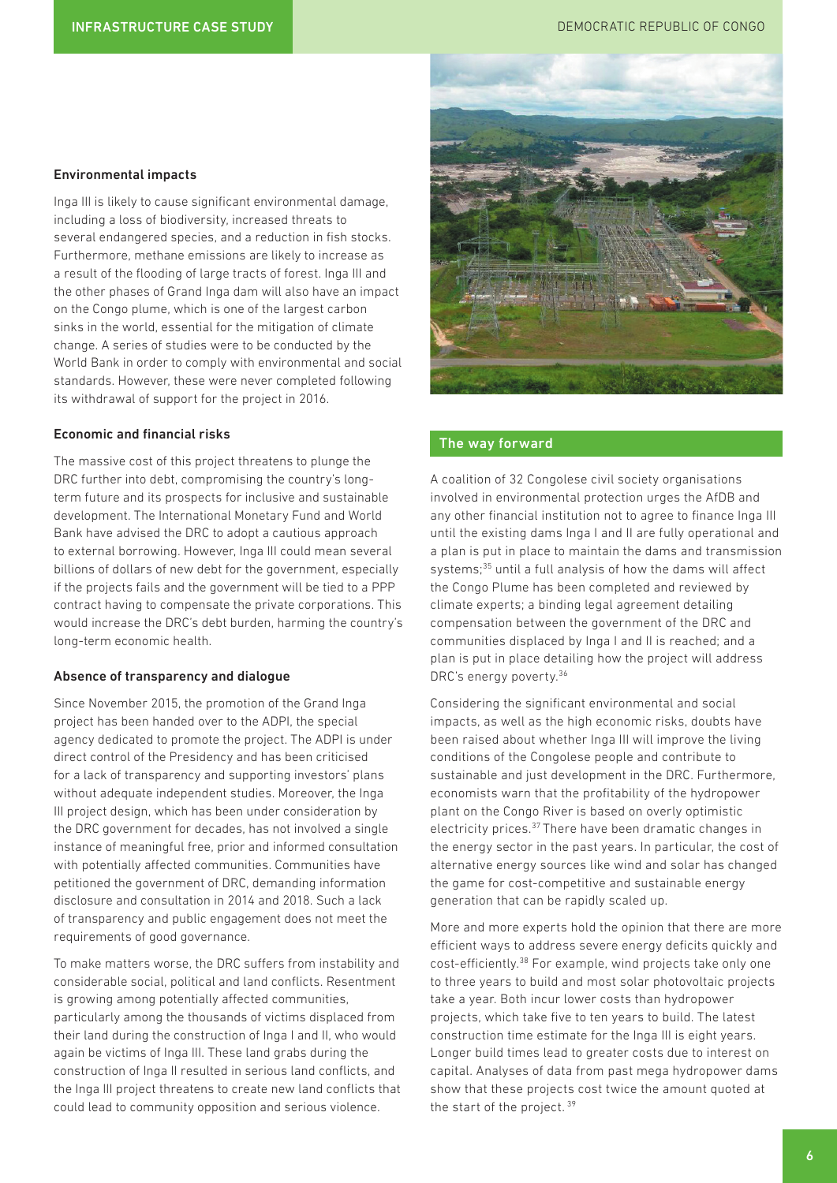### Environmental impacts

Inga III is likely to cause significant environmental damage, including a loss of biodiversity, increased threats to several endangered species, and a reduction in fish stocks. Furthermore, methane emissions are likely to increase as a result of the flooding of large tracts of forest. Inga III and the other phases of Grand Inga dam will also have an impact on the Congo plume, which is one of the largest carbon sinks in the world, essential for the mitigation of climate change. A series of studies were to be conducted by the World Bank in order to comply with environmental and social standards. However, these were never completed following its withdrawal of support for the project in 2016.

#### Economic and financial risks

The massive cost of this project threatens to plunge the DRC further into debt, compromising the country's longterm future and its prospects for inclusive and sustainable development. The International Monetary Fund and World Bank have advised the DRC to adopt a cautious approach to external borrowing. However, Inga III could mean several billions of dollars of new debt for the government, especially if the projects fails and the government will be tied to a PPP contract having to compensate the private corporations. This would increase the DRC's debt burden, harming the country's long-term economic health.

### Absence of transparency and dialogue

Since November 2015, the promotion of the Grand Inga project has been handed over to the ADPI, the special agency dedicated to promote the project. The ADPI is under direct control of the Presidency and has been criticised for a lack of transparency and supporting investors' plans without adequate independent studies. Moreover, the Inga III project design, which has been under consideration by the DRC government for decades, has not involved a single instance of meaningful free, prior and informed consultation with potentially affected communities. Communities have petitioned the government of DRC, demanding information disclosure and consultation in 2014 and 2018. Such a lack of transparency and public engagement does not meet the requirements of good governance.

To make matters worse, the DRC suffers from instability and considerable social, political and land conflicts. Resentment is growing among potentially affected communities, particularly among the thousands of victims displaced from their land during the construction of Inga I and II, who would again be victims of Inga III. These land grabs during the construction of Inga II resulted in serious land conflicts, and the Inga III project threatens to create new land conflicts that could lead to community opposition and serious violence.



# The way forward

A coalition of 32 Congolese civil society organisations involved in environmental protection urges the AfDB and any other financial institution not to agree to finance Inga III until the existing dams Inga I and II are fully operational and a plan is put in place to maintain the dams and transmission systems;35 until a full analysis of how the dams will affect the Congo Plume has been completed and reviewed by climate experts; a binding legal agreement detailing compensation between the government of the DRC and communities displaced by Inga I and II is reached; and a plan is put in place detailing how the project will address DRC's energy poverty.<sup>36</sup>

Considering the significant environmental and social impacts, as well as the high economic risks, doubts have been raised about whether Inga III will improve the living conditions of the Congolese people and contribute to sustainable and just development in the DRC. Furthermore, economists warn that the profitability of the hydropower plant on the Congo River is based on overly optimistic electricity prices.37 There have been dramatic changes in the energy sector in the past years. In particular, the cost of alternative energy sources like wind and solar has changed the game for cost-competitive and sustainable energy generation that can be rapidly scaled up.

More and more experts hold the opinion that there are more efficient ways to address severe energy deficits quickly and cost-efficiently.<sup>38</sup> For example, wind projects take only one to three years to build and most solar photovoltaic projects take a year. Both incur lower costs than hydropower projects, which take five to ten years to build. The latest construction time estimate for the Inga III is eight years. Longer build times lead to greater costs due to interest on capital. Analyses of data from past mega hydropower dams show that these projects cost twice the amount quoted at the start of the project. 39